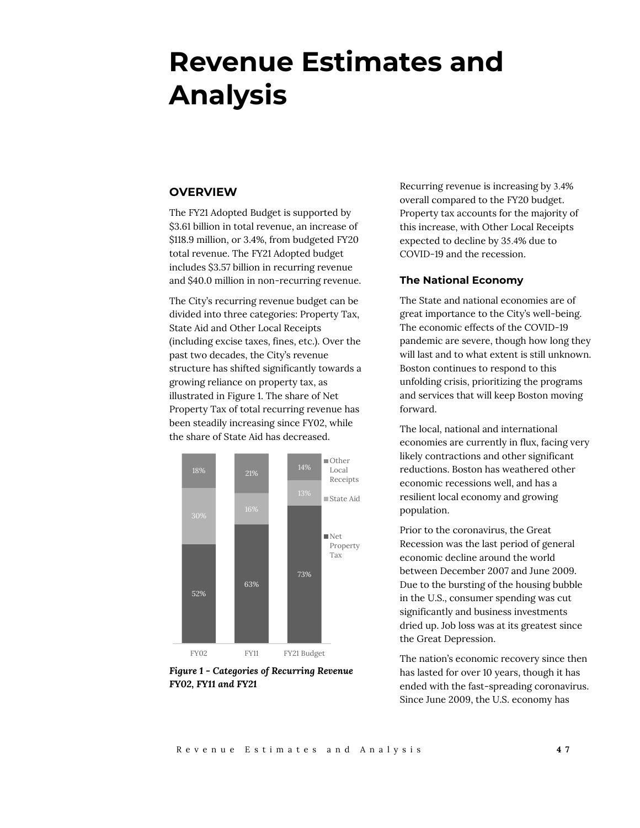# **Revenue Estimates and Analysis**

# **OVERVIEW**

The FY21 Adopted Budget is supported by \$3.61 billion in total revenue, an increase of \$118.9 million, or 3.4%, from budgeted FY20 total revenue. The FY21 Adopted budget includes \$3.57 billion in recurring revenue and \$40.0 million in non-recurring revenue.

The City's recurring revenue budget can be divided into three categories: Property Tax, State Aid and Other Local Receipts (including excise taxes, fines, etc.). Over the past two decades, the City's revenue structure has shifted significantly towards a growing reliance on property tax, as illustrated in Figure 1. The share of Net Property Tax of total recurring revenue has been steadily increasing since FY02, while the share of State Aid has decreased.



*Figure 1 - Categories of Recurring Revenue FY02, FY11 and FY21*

Recurring revenue is increasing by 3.4% overall compared to the FY20 budget. Property tax accounts for the majority of this increase, with Other Local Receipts expected to decline by 35.4% due to COVID-19 and the recession.

#### **The National Economy**

The State and national economies are of great importance to the City's well-being. The economic effects of the COVID-19 pandemic are severe, though how long they will last and to what extent is still unknown. Boston continues to respond to this unfolding crisis, prioritizing the programs and services that will keep Boston moving forward.

The local, national and international economies are currently in flux, facing very likely contractions and other significant reductions. Boston has weathered other economic recessions well, and has a resilient local economy and growing population.

Prior to the coronavirus, the Great Recession was the last period of general economic decline around the world between December 2007 and June 2009. Due to the bursting of the housing bubble in the U.S., consumer spending was cut significantly and business investments dried up. Job loss was at its greatest since the Great Depression.

The nation's economic recovery since then has lasted for over 10 years, though it has ended with the fast-spreading coronavirus. Since June 2009, the U.S. economy has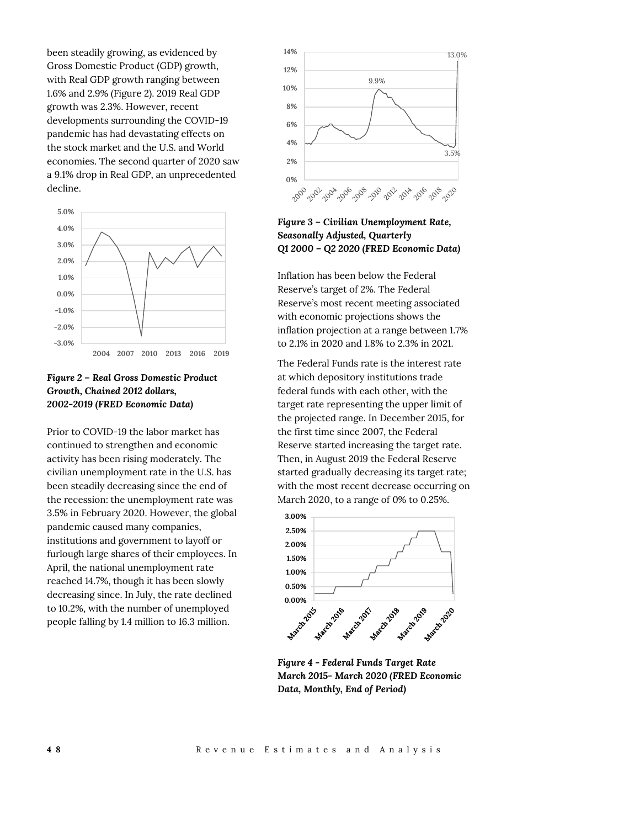been steadily growing, as evidenced by Gross Domestic Product (GDP) growth, with Real GDP growth ranging between 1.6% and 2.9% (Figure 2). 2019 Real GDP growth was 2.3%. However, recent developments surrounding the COVID-19 pandemic has had devastating effects on the stock market and the U.S. and World economies. The second quarter of 2020 saw a 9.1% drop in Real GDP, an unprecedented decline.



# *Figure 2 – Real Gross Domestic Product Growth, Chained 2012 dollars, 2002-2019 (FRED Economic Data)*

Prior to COVID-19 the labor market has continued to strengthen and economic activity has been rising moderately. The civilian unemployment rate in the U.S. has been steadily decreasing since the end of the recession: the unemployment rate was 3.5% in February 2020. However, the global pandemic caused many companies, institutions and government to layoff or furlough large shares of their employees. In April, the national unemployment rate reached 14.7%, though it has been slowly decreasing since. In July, the rate declined to 10.2%, with the number of unemployed people falling by 1.4 million to 16.3 million.



*Figure 3 – Civilian Unemployment Rate, Seasonally Adjusted, Quarterly Q1 2000 – Q2 2020 (FRED Economic Data)*

Inflation has been below the Federal Reserve's target of 2%. The Federal Reserve's most recent meeting associated with economic projections shows the inflation projection at a range between 1.7% to 2.1% in 2020 and 1.8% to 2.3% in 2021.

The Federal Funds rate is the interest rate at which depository institutions trade federal funds with each other, with the target rate representing the upper limit of the projected range. In December 2015, for the first time since 2007, the Federal Reserve started increasing the target rate. Then, in August 2019 the Federal Reserve started gradually decreasing its target rate; with the most recent decrease occurring on March 2020, to a range of 0% to 0.25%.



*Figure 4 - Federal Funds Target Rate March 2015- March 2020 (FRED Economic Data, Monthly, End of Period)*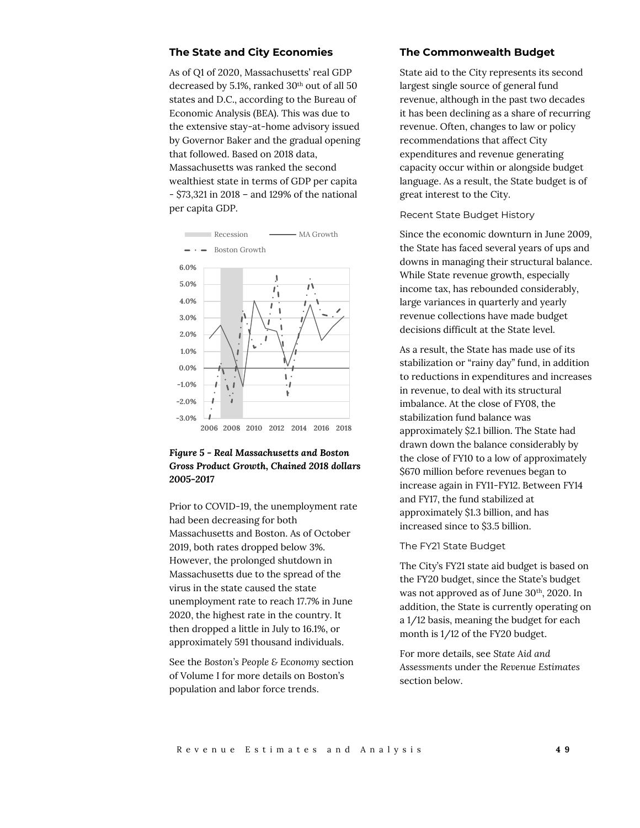#### **The State and City Economies**

As of Q1 of 2020, Massachusetts' real GDP decreased by 5.1%, ranked 30<sup>th</sup> out of all 50 states and D.C., according to the Bureau of Economic Analysis (BEA). This was due to the extensive stay-at-home advisory issued by Governor Baker and the gradual opening that followed. Based on 2018 data, Massachusetts was ranked the second wealthiest state in terms of GDP per capita - \$73,321 in 2018 – and 129% of the national per capita GDP.



### *Figure 5 - Real Massachusetts and Boston Gross Product Growth, Chained 2018 dollars 2005-2017*

Prior to COVID-19, the unemployment rate had been decreasing for both Massachusetts and Boston. As of October 2019, both rates dropped below 3%. However, the prolonged shutdown in Massachusetts due to the spread of the virus in the state caused the state unemployment rate to reach 17.7% in June 2020, the highest rate in the country. It then dropped a little in July to 16.1%, or approximately 591 thousand individuals.

See the *Boston's People & Economy* section of Volume I for more details on Boston's population and labor force trends.

#### **The Commonwealth Budget**

State aid to the City represents its second largest single source of general fund revenue, although in the past two decades it has been declining as a share of recurring revenue. Often, changes to law or policy recommendations that affect City expenditures and revenue generating capacity occur within or alongside budget language. As a result, the State budget is of great interest to the City.

Recent State Budget History

Since the economic downturn in June 2009, the State has faced several years of ups and downs in managing their structural balance. While State revenue growth, especially income tax, has rebounded considerably, large variances in quarterly and yearly revenue collections have made budget decisions difficult at the State level.

As a result, the State has made use of its stabilization or "rainy day" fund, in addition to reductions in expenditures and increases in revenue, to deal with its structural imbalance. At the close of FY08, the stabilization fund balance was approximately \$2.1 billion. The State had drawn down the balance considerably by the close of FY10 to a low of approximately \$670 million before revenues began to increase again in FY11-FY12. Between FY14 and FY17, the fund stabilized at approximately \$1.3 billion, and has increased since to \$3.5 billion.

#### The FY21 State Budget

The City's FY21 state aid budget is based on the FY20 budget, since the State's budget was not approved as of June 30<sup>th</sup>, 2020. In addition, the State is currently operating on a 1/12 basis, meaning the budget for each month is 1/12 of the FY20 budget.

For more details, see *State Aid and Assessments* under the *Revenue Estimates* section below.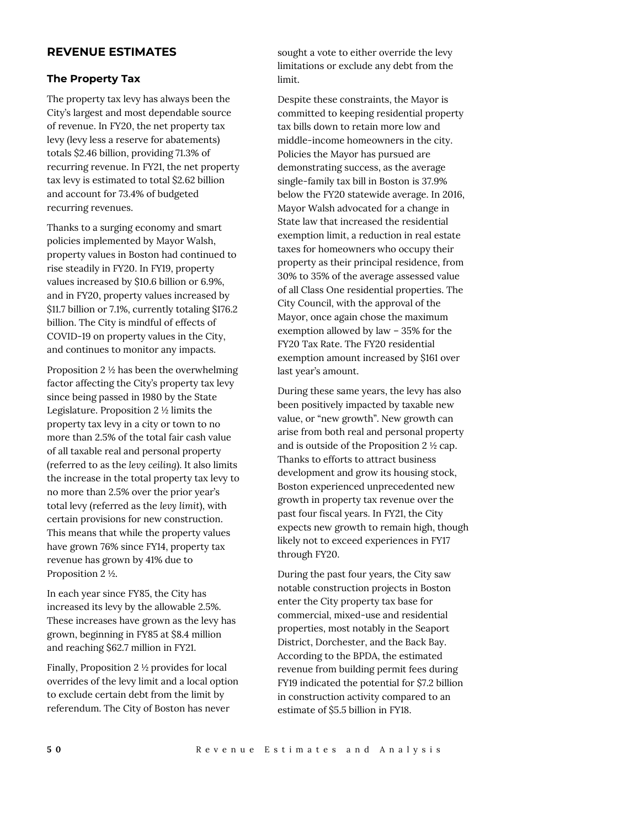# **REVENUE ESTIMATES**

### **The Property Tax**

The property tax levy has always been the City's largest and most dependable source of revenue. In FY20, the net property tax levy (levy less a reserve for abatements) totals \$2.46 billion, providing 71.3% of recurring revenue. In FY21, the net property tax levy is estimated to total \$2.62 billion and account for 73.4% of budgeted recurring revenues.

Thanks to a surging economy and smart policies implemented by Mayor Walsh, property values in Boston had continued to rise steadily in FY20. In FY19, property values increased by \$10.6 billion or 6.9%, and in FY20, property values increased by \$11.7 billion or 7.1%, currently totaling \$176.2 billion. The City is mindful of effects of COVID-19 on property values in the City, and continues to monitor any impacts.

Proposition 2 ½ has been the overwhelming factor affecting the City's property tax levy since being passed in 1980 by the State Legislature. Proposition 2 ½ limits the property tax levy in a city or town to no more than 2.5% of the total fair cash value of all taxable real and personal property (referred to as the *levy ceiling*). It also limits the increase in the total property tax levy to no more than 2.5% over the prior year's total levy (referred as the *levy limit*), with certain provisions for new construction. This means that while the property values have grown 76% since FY14, property tax revenue has grown by 41% due to Proposition 2 ½.

In each year since FY85, the City has increased its levy by the allowable 2.5%. These increases have grown as the levy has grown, beginning in FY85 at \$8.4 million and reaching \$62.7 million in FY21.

Finally, Proposition 2 ½ provides for local overrides of the levy limit and a local option to exclude certain debt from the limit by referendum. The City of Boston has never

sought a vote to either override the levy limitations or exclude any debt from the limit.

Despite these constraints, the Mayor is committed to keeping residential property tax bills down to retain more low and middle-income homeowners in the city. Policies the Mayor has pursued are demonstrating success, as the average single-family tax bill in Boston is 37.9% below the FY20 statewide average. In 2016, Mayor Walsh advocated for a change in State law that increased the residential exemption limit, a reduction in real estate taxes for homeowners who occupy their property as their principal residence, from 30% to 35% of the average assessed value of all Class One residential properties. The City Council, with the approval of the Mayor, once again chose the maximum exemption allowed by law – 35% for the FY20 Tax Rate. The FY20 residential exemption amount increased by \$161 over last year's amount.

During these same years, the levy has also been positively impacted by taxable new value, or "new growth". New growth can arise from both real and personal property and is outside of the Proposition 2 ½ cap. Thanks to efforts to attract business development and grow its housing stock, Boston experienced unprecedented new growth in property tax revenue over the past four fiscal years. In FY21, the City expects new growth to remain high, though likely not to exceed experiences in FY17 through FY20.

During the past four years, the City saw notable construction projects in Boston enter the City property tax base for commercial, mixed-use and residential properties, most notably in the Seaport District, Dorchester, and the Back Bay. According to the BPDA, the estimated revenue from building permit fees during FY19 indicated the potential for \$7.2 billion in construction activity compared to an estimate of \$5.5 billion in FY18.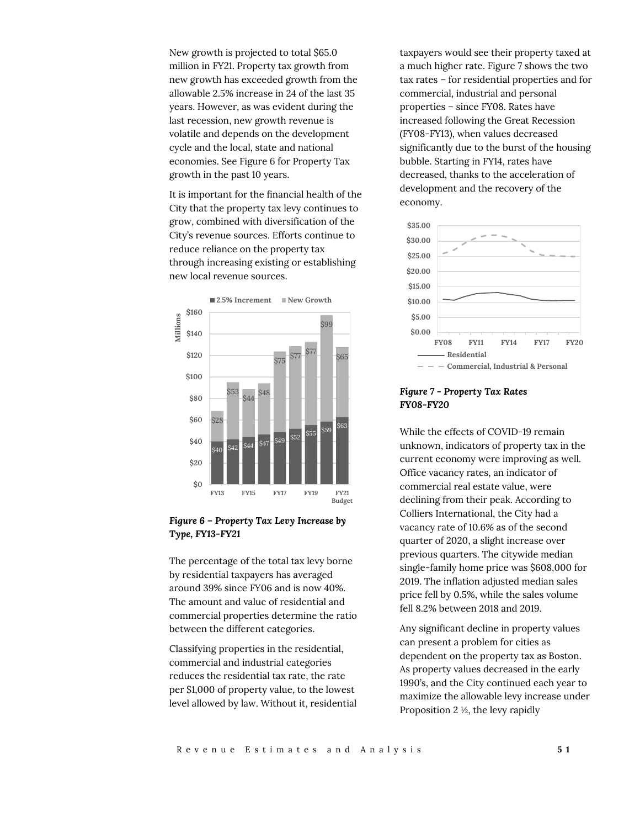New growth is projected to total \$65.0 million in FY21. Property tax growth from new growth has exceeded growth from the allowable 2.5% increase in 24 of the last 35 years. However, as was evident during the last recession, new growth revenue is volatile and depends on the development cycle and the local, state and national economies. See Figure 6 for Property Tax growth in the past 10 years.

It is important for the financial health of the City that the property tax levy continues to grow, combined with diversification of the City's revenue sources. Efforts continue to reduce reliance on the property tax through increasing existing or establishing new local revenue sources.



### *Figure 6 – Property Tax Levy Increase by Type, FY13-FY21*

The percentage of the total tax levy borne by residential taxpayers has averaged around 39% since FY06 and is now 40%. The amount and value of residential and commercial properties determine the ratio between the different categories.

Classifying properties in the residential, commercial and industrial categories reduces the residential tax rate, the rate per \$1,000 of property value, to the lowest level allowed by law. Without it, residential

taxpayers would see their property taxed at a much higher rate. Figure 7 shows the two tax rates – for residential properties and for commercial, industrial and personal properties – since FY08. Rates have increased following the Great Recession (FY08-FY13), when values decreased significantly due to the burst of the housing bubble. Starting in FY14, rates have decreased, thanks to the acceleration of development and the recovery of the economy.



## *Figure 7 - Property Tax Rates FY08-FY20*

While the effects of COVID-19 remain unknown, indicators of property tax in the current economy were improving as well. Office vacancy rates, an indicator of commercial real estate value, were declining from their peak. According to Colliers International, the City had a vacancy rate of 10.6% as of the second quarter of 2020, a slight increase over previous quarters. The citywide median single-family home price was \$608,000 for 2019. The inflation adjusted median sales price fell by 0.5%, while the sales volume fell 8.2% between 2018 and 2019.

Any significant decline in property values can present a problem for cities as dependent on the property tax as Boston. As property values decreased in the early 1990's, and the City continued each year to maximize the allowable levy increase under Proposition 2 ½, the levy rapidly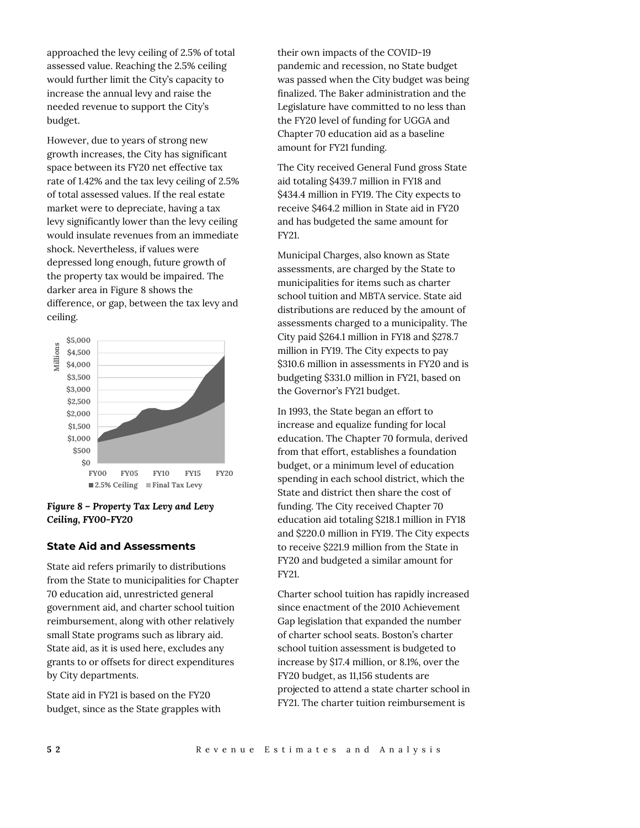approached the levy ceiling of 2.5% of total assessed value. Reaching the 2.5% ceiling would further limit the City's capacity to increase the annual levy and raise the needed revenue to support the City's budget.

However, due to years of strong new growth increases, the City has significant space between its FY20 net effective tax rate of 1.42% and the tax levy ceiling of 2.5% of total assessed values. If the real estate market were to depreciate, having a tax levy significantly lower than the levy ceiling would insulate revenues from an immediate shock. Nevertheless, if values were depressed long enough, future growth of the property tax would be impaired. The darker area in Figure 8 shows the difference, or gap, between the tax levy and ceiling.



### *Figure 8 – Property Tax Levy and Levy Ceiling, FY00-FY20*

### **State Aid and Assessments**

State aid refers primarily to distributions from the State to municipalities for Chapter 70 education aid, unrestricted general government aid, and charter school tuition reimbursement, along with other relatively small State programs such as library aid. State aid, as it is used here, excludes any grants to or offsets for direct expenditures by City departments.

State aid in FY21 is based on the FY20 budget, since as the State grapples with their own impacts of the COVID-19 pandemic and recession, no State budget was passed when the City budget was being finalized. The Baker administration and the Legislature have committed to no less than the FY20 level of funding for UGGA and Chapter 70 education aid as a baseline amount for FY21 funding.

The City received General Fund gross State aid totaling \$439.7 million in FY18 and \$434.4 million in FY19. The City expects to receive \$464.2 million in State aid in FY20 and has budgeted the same amount for FY21.

Municipal Charges, also known as State assessments, are charged by the State to municipalities for items such as charter school tuition and MBTA service. State aid distributions are reduced by the amount of assessments charged to a municipality. The City paid \$264.1 million in FY18 and \$278.7 million in FY19. The City expects to pay \$310.6 million in assessments in FY20 and is budgeting \$331.0 million in FY21, based on the Governor's FY21 budget.

In 1993, the State began an effort to increase and equalize funding for local education. The Chapter 70 formula, derived from that effort, establishes a foundation budget, or a minimum level of education spending in each school district, which the State and district then share the cost of funding. The City received Chapter 70 education aid totaling \$218.1 million in FY18 and \$220.0 million in FY19. The City expects to receive \$221.9 million from the State in FY20 and budgeted a similar amount for FY21.

Charter school tuition has rapidly increased since enactment of the 2010 Achievement Gap legislation that expanded the number of charter school seats. Boston's charter school tuition assessment is budgeted to increase by \$17.4 million, or 8.1%, over the FY20 budget, as 11,156 students are projected to attend a state charter school in FY21. The charter tuition reimbursement is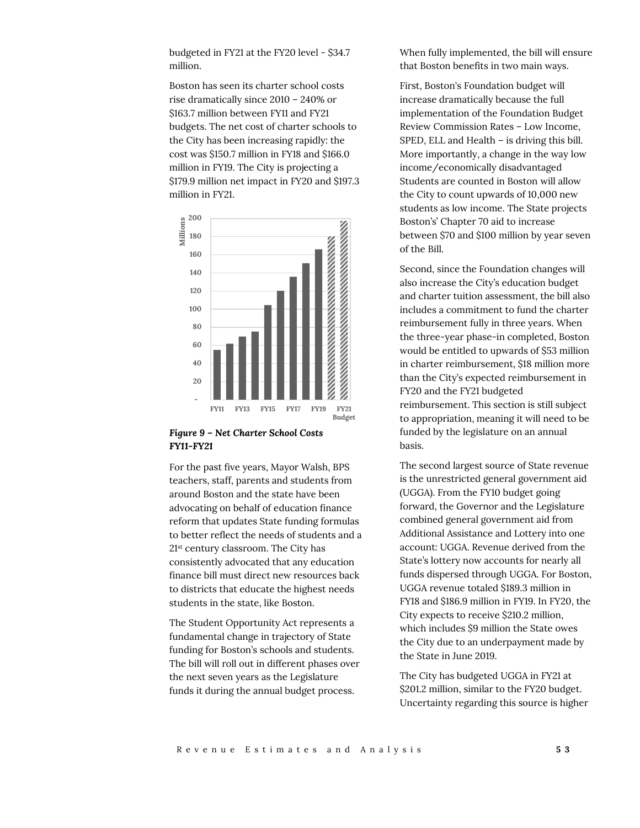budgeted in FY21 at the FY20 level - \$34.7 million.

Boston has seen its charter school costs rise dramatically since 2010 – 240% or \$163.7 million between FY11 and FY21 budgets. The net cost of charter schools to the City has been increasing rapidly: the cost was \$150.7 million in FY18 and \$166.0 million in FY19. The City is projecting a \$179.9 million net impact in FY20 and \$197.3 million in FY21.



## *Figure 9 – Net Charter School Costs FY11-FY21*

For the past five years, Mayor Walsh, BPS teachers, staff, parents and students from around Boston and the state have been advocating on behalf of education finance reform that updates State funding formulas to better reflect the needs of students and a 21st century classroom. The City has consistently advocated that any education finance bill must direct new resources back to districts that educate the highest needs students in the state, like Boston.

The Student Opportunity Act represents a fundamental change in trajectory of State funding for Boston's schools and students. The bill will roll out in different phases over the next seven years as the Legislature funds it during the annual budget process.

When fully implemented, the bill will ensure that Boston benefits in two main ways.

First, Boston's Foundation budget will increase dramatically because the full implementation of the Foundation Budget Review Commission Rates – Low Income, SPED, ELL and Health – is driving this bill. More importantly, a change in the way low income/economically disadvantaged Students are counted in Boston will allow the City to count upwards of 10,000 new students as low income. The State projects Boston's' Chapter 70 aid to increase between \$70 and \$100 million by year seven of the Bill.

Second, since the Foundation changes will also increase the City's education budget and charter tuition assessment, the bill also includes a commitment to fund the charter reimbursement fully in three years. When the three-year phase-in completed, Boston would be entitled to upwards of \$53 million in charter reimbursement, \$18 million more than the City's expected reimbursement in FY20 and the FY21 budgeted reimbursement. This section is still subject to appropriation, meaning it will need to be funded by the legislature on an annual basis.

The second largest source of State revenue is the unrestricted general government aid (UGGA). From the FY10 budget going forward, the Governor and the Legislature combined general government aid from Additional Assistance and Lottery into one account: UGGA. Revenue derived from the State's lottery now accounts for nearly all funds dispersed through UGGA. For Boston, UGGA revenue totaled \$189.3 million in FY18 and \$186.9 million in FY19. In FY20, the City expects to receive \$210.2 million, which includes \$9 million the State owes the City due to an underpayment made by the State in June 2019.

The City has budgeted UGGA in FY21 at \$201.2 million, similar to the FY20 budget. Uncertainty regarding this source is higher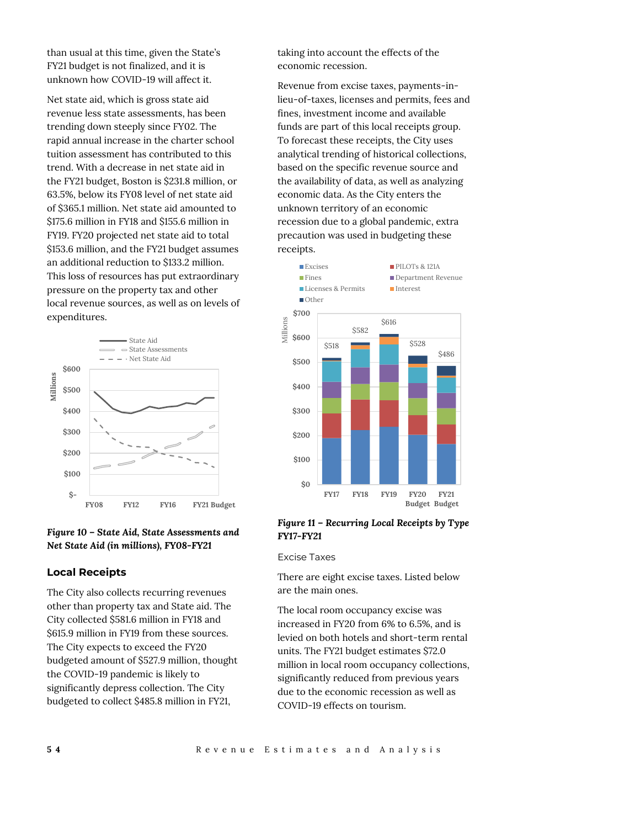than usual at this time, given the State's FY21 budget is not finalized, and it is unknown how COVID-19 will affect it.

Net state aid, which is gross state aid revenue less state assessments, has been trending down steeply since FY02. The rapid annual increase in the charter school tuition assessment has contributed to this trend. With a decrease in net state aid in the FY21 budget, Boston is \$231.8 million, or 63.5%, below its FY08 level of net state aid of \$365.1 million. Net state aid amounted to \$175.6 million in FY18 and \$155.6 million in FY19. FY20 projected net state aid to total \$153.6 million, and the FY21 budget assumes an additional reduction to \$133.2 million. This loss of resources has put extraordinary pressure on the property tax and other local revenue sources, as well as on levels of expenditures.





### **Local Receipts**

The City also collects recurring revenues other than property tax and State aid. The City collected \$581.6 million in FY18 and \$615.9 million in FY19 from these sources. The City expects to exceed the FY20 budgeted amount of \$527.9 million, thought the COVID-19 pandemic is likely to significantly depress collection. The City budgeted to collect \$485.8 million in FY21,

taking into account the effects of the economic recession.

Revenue from excise taxes, payments-inlieu-of-taxes, licenses and permits, fees and fines, investment income and available funds are part of this local receipts group. To forecast these receipts, the City uses analytical trending of historical collections, based on the specific revenue source and the availability of data, as well as analyzing economic data. As the City enters the unknown territory of an economic recession due to a global pandemic, extra precaution was used in budgeting these receipts.



#### *Figure 11 – Recurring Local Receipts by Type FY17-FY21*

Excise Taxes

There are eight excise taxes. Listed below are the main ones.

The local room occupancy excise was increased in FY20 from 6% to 6.5%, and is levied on both hotels and short-term rental units. The FY21 budget estimates \$72.0 million in local room occupancy collections, significantly reduced from previous years due to the economic recession as well as COVID-19 effects on tourism.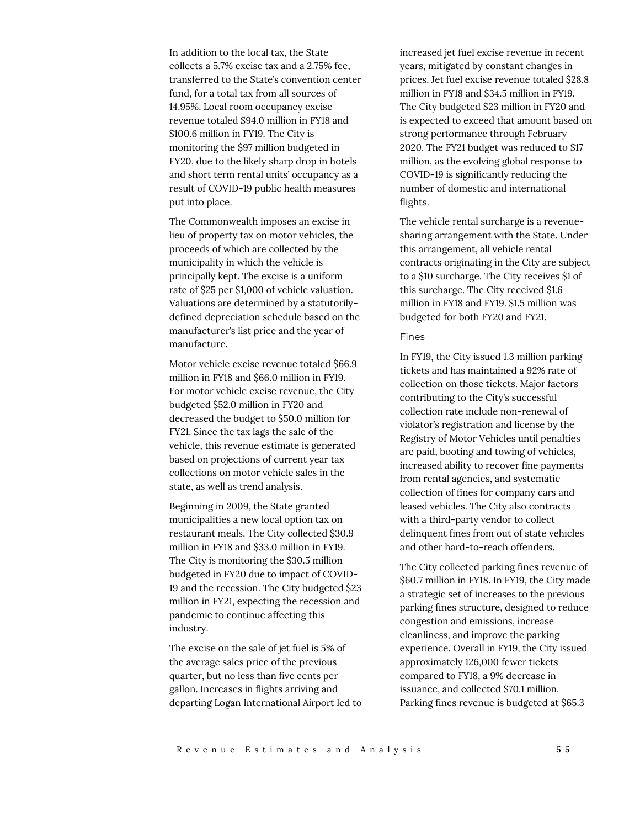In addition to the local tax, the State collects a 5.7% excise tax and a 2.75% fee, transferred to the State's convention center fund, for a total tax from all sources of 14.95%. Local room occupancy excise revenue totaled \$94.0 million in FY18 and \$100.6 million in FY19. The City is monitoring the \$97 million budgeted in FY20, due to the likely sharp drop in hotels and short term rental units' occupancy as a result of COVID-19 public health measures put into place.

The Commonwealth imposes an excise in lieu of property tax on motor vehicles, the proceeds of which are collected by the municipality in which the vehicle is principally kept. The excise is a uniform rate of \$25 per \$1,000 of vehicle valuation. Valuations are determined by a statutorilydefined depreciation schedule based on the manufacturer's list price and the year of manufacture.

Motor vehicle excise revenue totaled \$66.9 million in FY18 and \$66.0 million in FY19. For motor vehicle excise revenue, the City budgeted \$52.0 million in FY20 and decreased the budget to \$50.0 million for FY21. Since the tax lags the sale of the vehicle, this revenue estimate is generated based on projections of current year tax collections on motor vehicle sales in the state, as well as trend analysis.

Beginning in 2009, the State granted municipalities a new local option tax on restaurant meals. The City collected \$30.9 million in FY18 and \$33.0 million in FY19. The City is monitoring the \$30.5 million budgeted in FY20 due to impact of COVID-19 and the recession. The City budgeted \$23 million in FY21, expecting the recession and pandemic to continue affecting this industry.

The excise on the sale of jet fuel is 5% of the average sales price of the previous quarter, but no less than five cents per gallon. Increases in flights arriving and departing Logan International Airport led to

increased jet fuel excise revenue in recent years, mitigated by constant changes in prices. Jet fuel excise revenue totaled \$28.8 million in FY18 and \$34.5 million in FY19. The City budgeted \$23 million in FY20 and is expected to exceed that amount based on strong performance through February 2020. The FY21 budget was reduced to \$17 million, as the evolving global response to COVID-19 is significantly reducing the number of domestic and international flights.

The vehicle rental surcharge is a revenuesharing arrangement with the State. Under this arrangement, all vehicle rental contracts originating in the City are subject to a \$10 surcharge. The City receives \$1 of this surcharge. The City received \$1.6 million in FY18 and FY19. \$1.5 million was budgeted for both FY20 and FY21.

#### Fines

In FY19, the City issued 1.3 million parking tickets and has maintained a 92% rate of collection on those tickets. Major factors contributing to the City's successful collection rate include non-renewal of violator's registration and license by the Registry of Motor Vehicles until penalties are paid, booting and towing of vehicles, increased ability to recover fine payments from rental agencies, and systematic collection of fines for company cars and leased vehicles. The City also contracts with a third-party vendor to collect delinquent fines from out of state vehicles and other hard-to-reach offenders.

The City collected parking fines revenue of \$60.7 million in FY18. In FY19, the City made a strategic set of increases to the previous parking fines structure, designed to reduce congestion and emissions, increase cleanliness, and improve the parking experience. Overall in FY19, the City issued approximately 126,000 fewer tickets compared to FY18, a 9% decrease in issuance, and collected \$70.1 million. Parking fines revenue is budgeted at \$65.3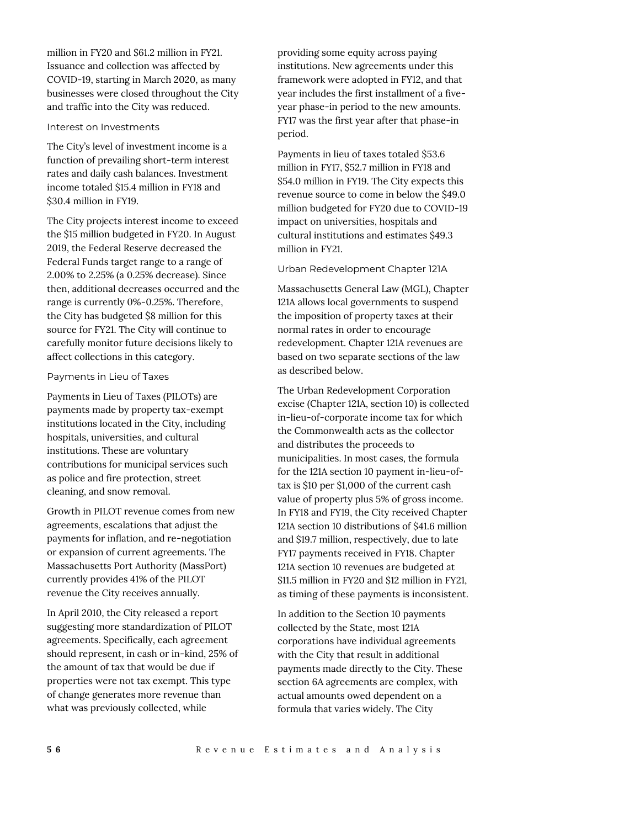million in FY20 and \$61.2 million in FY21. Issuance and collection was affected by COVID-19, starting in March 2020, as many businesses were closed throughout the City and traffic into the City was reduced.

## Interest on Investments

The City's level of investment income is a function of prevailing short-term interest rates and daily cash balances. Investment income totaled \$15.4 million in FY18 and \$30.4 million in FY19.

The City projects interest income to exceed the \$15 million budgeted in FY20. In August 2019, the Federal Reserve decreased the Federal Funds target range to a range of 2.00% to 2.25% (a 0.25% decrease). Since then, additional decreases occurred and the range is currently 0%-0.25%. Therefore, the City has budgeted \$8 million for this source for FY21. The City will continue to carefully monitor future decisions likely to affect collections in this category.

# Payments in Lieu of Taxes

Payments in Lieu of Taxes (PILOTs) are payments made by property tax-exempt institutions located in the City, including hospitals, universities, and cultural institutions. These are voluntary contributions for municipal services such as police and fire protection, street cleaning, and snow removal.

Growth in PILOT revenue comes from new agreements, escalations that adjust the payments for inflation, and re-negotiation or expansion of current agreements. The Massachusetts Port Authority (MassPort) currently provides 41% of the PILOT revenue the City receives annually.

In April 2010, the City released a report suggesting more standardization of PILOT agreements. Specifically, each agreement should represent, in cash or in-kind, 25% of the amount of tax that would be due if properties were not tax exempt. This type of change generates more revenue than what was previously collected, while

providing some equity across paying institutions. New agreements under this framework were adopted in FY12, and that year includes the first installment of a fiveyear phase-in period to the new amounts. FY17 was the first year after that phase-in period.

Payments in lieu of taxes totaled \$53.6 million in FY17, \$52.7 million in FY18 and \$54.0 million in FY19. The City expects this revenue source to come in below the \$49.0 million budgeted for FY20 due to COVID-19 impact on universities, hospitals and cultural institutions and estimates \$49.3 million in FY21.

# Urban Redevelopment Chapter 121A

Massachusetts General Law (MGL), Chapter 121A allows local governments to suspend the imposition of property taxes at their normal rates in order to encourage redevelopment. Chapter 121A revenues are based on two separate sections of the law as described below.

The Urban Redevelopment Corporation excise (Chapter 121A, section 10) is collected in-lieu-of-corporate income tax for which the Commonwealth acts as the collector and distributes the proceeds to municipalities. In most cases, the formula for the 121A section 10 payment in-lieu-oftax is \$10 per \$1,000 of the current cash value of property plus 5% of gross income. In FY18 and FY19, the City received Chapter 121A section 10 distributions of \$41.6 million and \$19.7 million, respectively, due to late FY17 payments received in FY18. Chapter 121A section 10 revenues are budgeted at \$11.5 million in FY20 and \$12 million in FY21, as timing of these payments is inconsistent.

In addition to the Section 10 payments collected by the State, most 121A corporations have individual agreements with the City that result in additional payments made directly to the City. These section 6A agreements are complex, with actual amounts owed dependent on a formula that varies widely. The City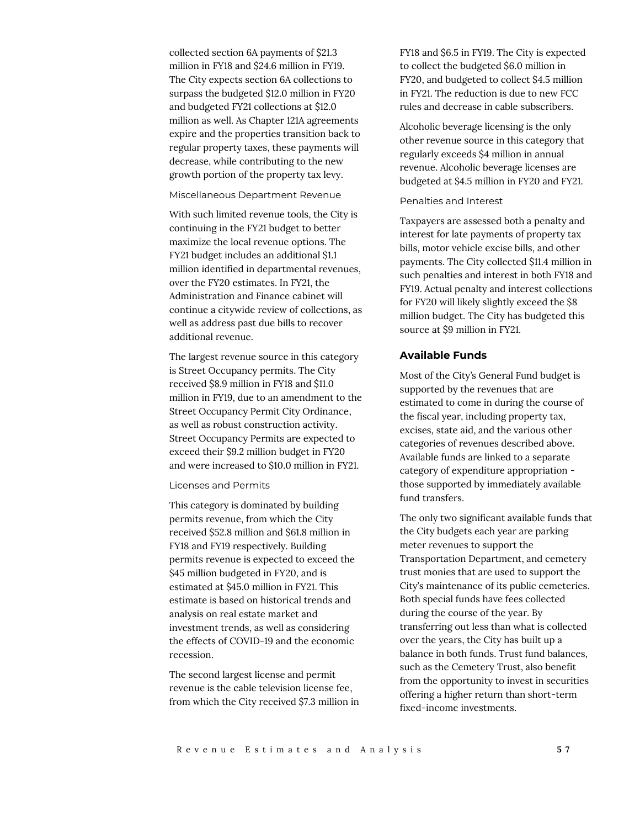collected section 6A payments of \$21.3 million in FY18 and \$24.6 million in FY19. The City expects section 6A collections to surpass the budgeted \$12.0 million in FY20 and budgeted FY21 collections at \$12.0 million as well. As Chapter 121A agreements expire and the properties transition back to regular property taxes, these payments will decrease, while contributing to the new growth portion of the property tax levy.

Miscellaneous Department Revenue

With such limited revenue tools, the City is continuing in the FY21 budget to better maximize the local revenue options. The FY21 budget includes an additional \$1.1 million identified in departmental revenues, over the FY20 estimates. In FY21, the Administration and Finance cabinet will continue a citywide review of collections, as well as address past due bills to recover additional revenue.

The largest revenue source in this category is Street Occupancy permits. The City received \$8.9 million in FY18 and \$11.0 million in FY19, due to an amendment to the Street Occupancy Permit City Ordinance, as well as robust construction activity. Street Occupancy Permits are expected to exceed their \$9.2 million budget in FY20 and were increased to \$10.0 million in FY21.

Licenses and Permits

This category is dominated by building permits revenue, from which the City received \$52.8 million and \$61.8 million in FY18 and FY19 respectively. Building permits revenue is expected to exceed the \$45 million budgeted in FY20, and is estimated at \$45.0 million in FY21. This estimate is based on historical trends and analysis on real estate market and investment trends, as well as considering the effects of COVID-19 and the economic recession.

The second largest license and permit revenue is the cable television license fee, from which the City received \$7.3 million in

FY18 and \$6.5 in FY19. The City is expected to collect the budgeted \$6.0 million in FY20, and budgeted to collect \$4.5 million in FY21. The reduction is due to new FCC rules and decrease in cable subscribers.

Alcoholic beverage licensing is the only other revenue source in this category that regularly exceeds \$4 million in annual revenue. Alcoholic beverage licenses are budgeted at \$4.5 million in FY20 and FY21.

#### Penalties and Interest

Taxpayers are assessed both a penalty and interest for late payments of property tax bills, motor vehicle excise bills, and other payments. The City collected \$11.4 million in such penalties and interest in both FY18 and FY19. Actual penalty and interest collections for FY20 will likely slightly exceed the \$8 million budget. The City has budgeted this source at \$9 million in FY21.

#### **Available Funds**

Most of the City's General Fund budget is supported by the revenues that are estimated to come in during the course of the fiscal year, including property tax, excises, state aid, and the various other categories of revenues described above. Available funds are linked to a separate category of expenditure appropriation those supported by immediately available fund transfers.

The only two significant available funds that the City budgets each year are parking meter revenues to support the Transportation Department, and cemetery trust monies that are used to support the City's maintenance of its public cemeteries. Both special funds have fees collected during the course of the year. By transferring out less than what is collected over the years, the City has built up a balance in both funds. Trust fund balances, such as the Cemetery Trust, also benefit from the opportunity to invest in securities offering a higher return than short-term fixed-income investments.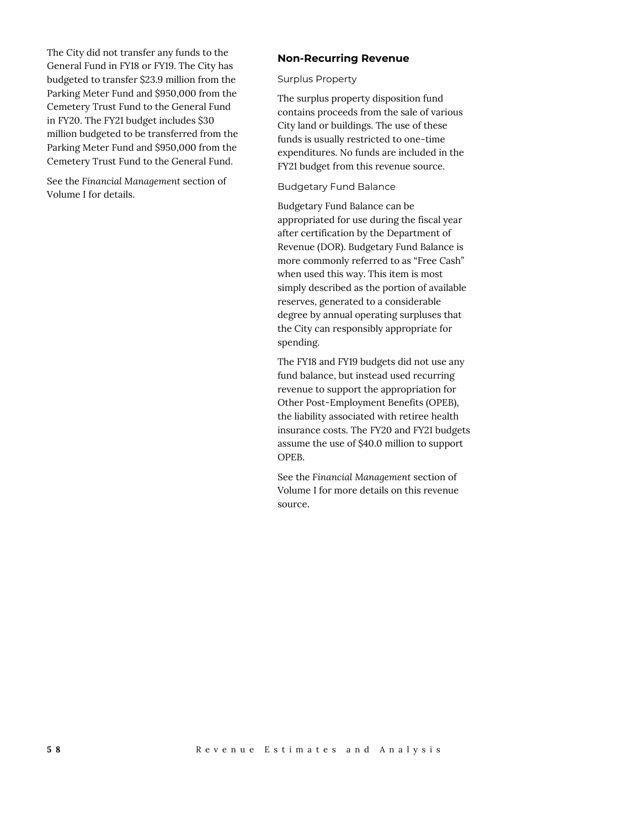The City did not transfer any funds to the General Fund in FY18 or FY19. The City has budgeted to transfer \$23.9 million from the Parking Meter Fund and \$950,000 from the Cemetery Trust Fund to the General Fund in FY20. The FY21 budget includes \$30 million budgeted to be transferred from the Parking Meter Fund and \$950,000 from the Cemetery Trust Fund to the General Fund.

See the *Financial Management* section of Volume I for details.

## **Non-Recurring Revenue**

Surplus Property

The surplus property disposition fund contains proceeds from the sale of various City land or buildings. The use of these funds is usually restricted to one-time expenditures. No funds are included in the FY21 budget from this revenue source.

Budgetary Fund Balance

Budgetary Fund Balance can be appropriated for use during the fiscal year after certification by the Department of Revenue (DOR). Budgetary Fund Balance is more commonly referred to as "Free Cash" when used this way. This item is most simply described as the portion of available reserves, generated to a considerable degree by annual operating surpluses that the City can responsibly appropriate for spending.

The FY18 and FY19 budgets did not use any fund balance, but instead used recurring revenue to support the appropriation for Other Post-Employment Benefits (OPEB), the liability associated with retiree health insurance costs. The FY20 and FY21 budgets assume the use of \$40.0 million to support OPEB.

See the *Financial Management* section of Volume I for more details on this revenue source.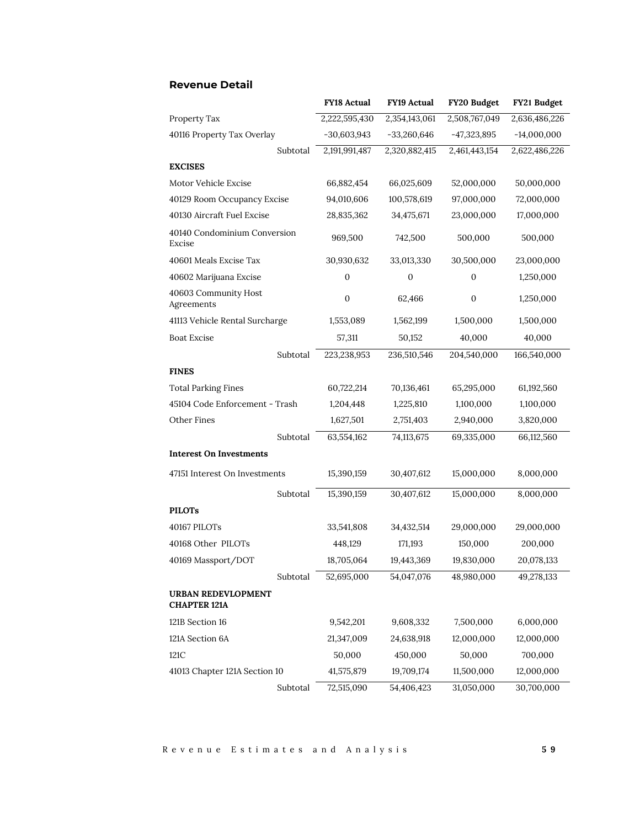|                                                  |          | <b>FY18 Actual</b> | <b>FY19 Actual</b> | FY20 Budget      | FY21 Budget   |
|--------------------------------------------------|----------|--------------------|--------------------|------------------|---------------|
| Property Tax                                     |          | 2,222,595,430      | 2,354,143,061      | 2,508,767,049    | 2,636,486,226 |
| 40116 Property Tax Overlay                       |          | $-30,603,943$      | $-33,260,646$      | $-47,323,895$    | $-14,000,000$ |
|                                                  | Subtotal | 2,191,991,487      | 2,320,882,415      | 2,461,443,154    | 2,622,486,226 |
| <b>EXCISES</b>                                   |          |                    |                    |                  |               |
| Motor Vehicle Excise                             |          | 66,882,454         | 66,025,609         | 52,000,000       | 50,000,000    |
| 40129 Room Occupancy Excise                      |          | 94,010,606         | 100,578,619        | 97,000,000       | 72,000,000    |
| 40130 Aircraft Fuel Excise                       |          | 28,835,362         | 34,475,671         | 23,000,000       | 17,000,000    |
| 40140 Condominium Conversion<br>Excise           |          | 969,500            | 742,500            | 500,000          | 500,000       |
| 40601 Meals Excise Tax                           |          | 30,930,632         | 33,013,330         | 30,500,000       | 23,000,000    |
| 40602 Marijuana Excise                           |          | $\boldsymbol{0}$   | $\mathbf{0}$       | 0                | 1,250,000     |
| 40603 Community Host<br>Agreements               |          | $\boldsymbol{0}$   | 62,466             | $\boldsymbol{0}$ | 1,250,000     |
| 41113 Vehicle Rental Surcharge                   |          | 1,553,089          | 1,562,199          | 1,500,000        | 1,500,000     |
| <b>Boat Excise</b>                               |          | 57,311             | 50,152             | 40,000           | 40,000        |
|                                                  | Subtotal | 223,238,953        | 236,510,546        | 204,540,000      | 166,540,000   |
| <b>FINES</b>                                     |          |                    |                    |                  |               |
| <b>Total Parking Fines</b>                       |          | 60,722,214         | 70,136,461         | 65,295,000       | 61,192,560    |
| 45104 Code Enforcement - Trash                   |          | 1,204,448          | 1,225,810          | 1,100,000        | 1,100,000     |
| Other Fines                                      |          | 1,627,501          | 2,751,403          | 2,940,000        | 3,820,000     |
|                                                  | Subtotal | 63,554,162         | 74,113,675         | 69,335,000       | 66,112,560    |
| <b>Interest On Investments</b>                   |          |                    |                    |                  |               |
| 47151 Interest On Investments                    |          | 15,390,159         | 30,407,612         | 15,000,000       | 8,000,000     |
|                                                  | Subtotal | 15,390,159         | 30,407,612         | 15,000,000       | 8,000,000     |
| <b>PILOTs</b>                                    |          |                    |                    |                  |               |
| 40167 PILOTs                                     |          | 33,541,808         | 34,432,514         | 29,000,000       | 29,000,000    |
| 40168 Other PILOTs                               |          | 448,129            | 171,193            | 150,000          | 200,000       |
| 40169 Massport/DOT                               |          | 18,705,064         | 19,443,369         | 19,830,000       | 20,078,133    |
|                                                  | Subtotal | 52,695,000         | 54,047,076         | 48,980,000       | 49,278,133    |
| <b>URBAN REDEVLOPMENT</b><br><b>CHAPTER 121A</b> |          |                    |                    |                  |               |
| 121B Section 16                                  |          | 9,542,201          | 9,608,332          | 7,500,000        | 6,000,000     |
| 121A Section 6A                                  |          | 21,347,009         | 24,638,918         | 12,000,000       | 12,000,000    |
| 121C                                             |          | 50,000             | 450,000            | 50,000           | 700,000       |
| 41013 Chapter 121A Section 10                    |          | 41,575,879         | 19,709,174         | 11,500,000       | 12,000,000    |
|                                                  | Subtotal | 72,515,090         | 54,406,423         | 31,050,000       | 30,700,000    |

# **Revenue Detail**

R e v e n u e E s t i m a t e s a n d A n a l y s i s **5 9**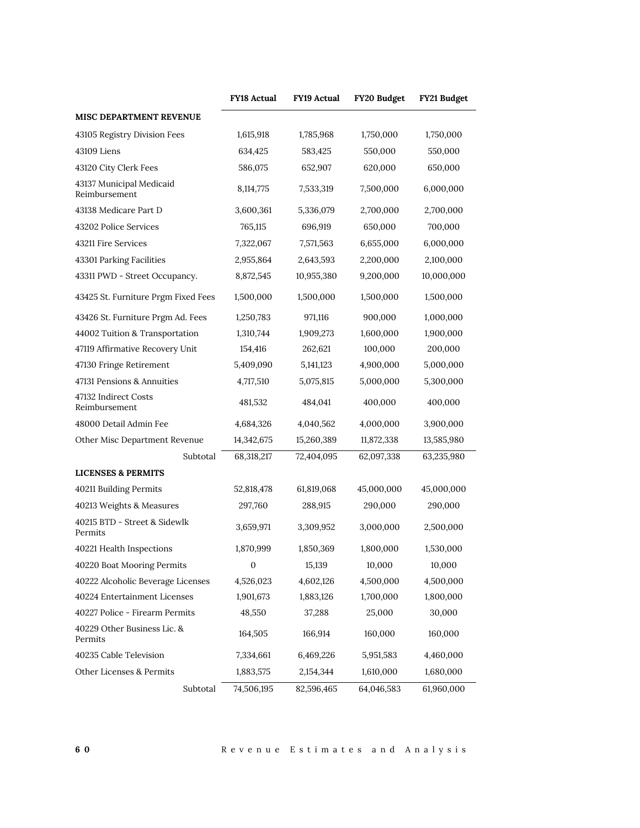|                                           | <b>FY18 Actual</b> | <b>FY19 Actual</b> | FY20 Budget | FY21 Budget |
|-------------------------------------------|--------------------|--------------------|-------------|-------------|
| <b>MISC DEPARTMENT REVENUE</b>            |                    |                    |             |             |
| 43105 Registry Division Fees              | 1,615,918          | 1,785,968          | 1,750,000   | 1,750,000   |
| 43109 Liens                               | 634,425            | 583,425            | 550,000     | 550,000     |
| 43120 City Clerk Fees                     | 586,075            | 652,907            | 620,000     | 650,000     |
| 43137 Municipal Medicaid<br>Reimbursement | 8,114,775          | 7,533,319          | 7,500,000   | 6,000,000   |
| 43138 Medicare Part D                     | 3,600,361          | 5,336,079          | 2,700,000   | 2,700,000   |
| 43202 Police Services                     | 765,115            | 696,919            | 650,000     | 700,000     |
| 43211 Fire Services                       | 7,322,067          | 7,571,563          | 6,655,000   | 6,000,000   |
| 43301 Parking Facilities                  | 2,955,864          | 2,643,593          | 2,200,000   | 2,100,000   |
| 43311 PWD - Street Occupancy.             | 8,872,545          | 10,955,380         | 9,200,000   | 10,000,000  |
| 43425 St. Furniture Prgm Fixed Fees       | 1,500,000          | 1,500,000          | 1,500,000   | 1,500,000   |
| 43426 St. Furniture Prgm Ad. Fees         | 1,250,783          | 971,116            | 900,000     | 1,000,000   |
| 44002 Tuition & Transportation            | 1,310,744          | 1,909,273          | 1,600,000   | 1,900,000   |
| 47119 Affirmative Recovery Unit           | 154,416            | 262,621            | 100,000     | 200,000     |
| 47130 Fringe Retirement                   | 5,409,090          | 5,141,123          | 4,900,000   | 5,000,000   |
| 47131 Pensions & Annuities                | 4,717,510          | 5,075,815          | 5,000,000   | 5,300,000   |
| 47132 Indirect Costs<br>Reimbursement     | 481,532            | 484,041            | 400,000     | 400,000     |
| 48000 Detail Admin Fee                    | 4,684,326          | 4,040,562          | 4,000,000   | 3,900,000   |
| Other Misc Department Revenue             | 14,342,675         | 15,260,389         | 11,872,338  | 13,585,980  |
| Subtotal                                  | 68,318,217         | 72,404,095         | 62,097,338  | 63,235,980  |
| <b>LICENSES &amp; PERMITS</b>             |                    |                    |             |             |
| 40211 Building Permits                    | 52,818,478         | 61,819,068         | 45,000,000  | 45,000,000  |
| 40213 Weights & Measures                  | 297,760            | 288,915            | 290,000     | 290,000     |
| 40215 BTD - Street & Sidewlk<br>Permits   | 3,659,971          | 3,309,952          | 3,000,000   | 2,500,000   |
| 40221 Health Inspections                  | 1,870,999          | 1,850,369          | 1,800,000   | 1,530,000   |
| 40220 Boat Mooring Permits                | 0                  | 15,139             | 10,000      | 10,000      |
| 40222 Alcoholic Beverage Licenses         | 4,526,023          | 4,602,126          | 4,500,000   | 4,500,000   |
| 40224 Entertainment Licenses              | 1,901,673          | 1,883,126          | 1,700,000   | 1,800,000   |
| 40227 Police - Firearm Permits            | 48,550             | 37,288             | 25,000      | 30,000      |
| 40229 Other Business Lic. &<br>Permits    | 164,505            | 166,914            | 160,000     | 160,000     |
| 40235 Cable Television                    | 7,334,661          | 6,469,226          | 5,951,583   | 4,460,000   |
| Other Licenses & Permits                  | 1,883,575          | 2,154,344          | 1,610,000   | 1,680,000   |
| Subtotal                                  | 74,506,195         | 82,596,465         | 64,046,583  | 61,960,000  |

**6 0** R e v e n u e E s t i m a t e s a n d A n a l y s i s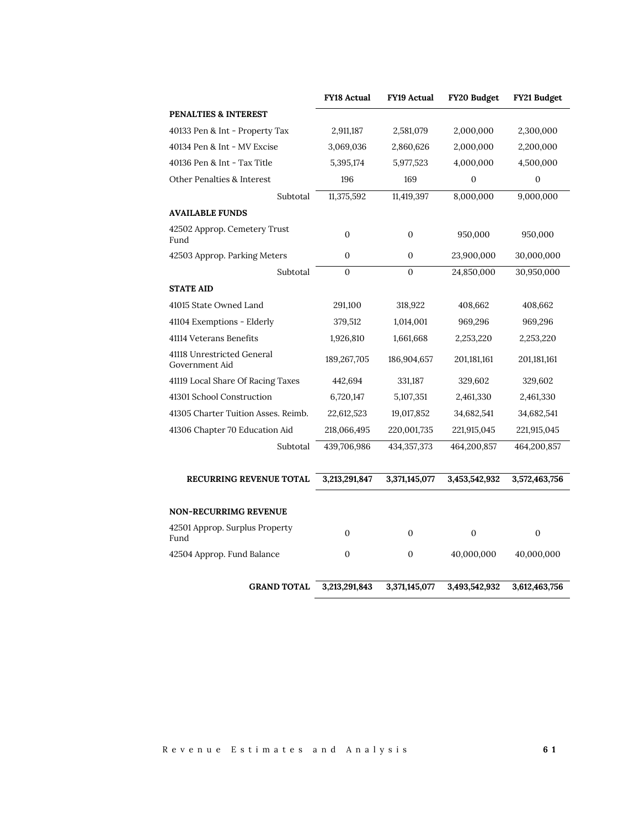|                                              | <b>FY18 Actual</b> | <b>FY19 Actual</b> | FY20 Budget   | FY21 Budget   |
|----------------------------------------------|--------------------|--------------------|---------------|---------------|
| PENALTIES & INTEREST                         |                    |                    |               |               |
| 40133 Pen & Int - Property Tax               | 2,911,187          | 2,581,079          | 2,000,000     | 2,300,000     |
| 40134 Pen & Int - MV Excise                  | 3,069,036          | 2,860,626          | 2,000,000     | 2,200,000     |
| 40136 Pen & Int - Tax Title                  | 5,395,174          | 5,977,523          | 4,000,000     | 4,500,000     |
| Other Penalties & Interest                   | 196                | 169                | $\mathbf{0}$  | $\mathbf{0}$  |
| Subtotal                                     | 11,375,592         | 11,419,397         | 8,000,000     | 9,000,000     |
| <b>AVAILABLE FUNDS</b>                       |                    |                    |               |               |
| 42502 Approp. Cemetery Trust<br>Fund         | $\mathbf{0}$       | $\boldsymbol{0}$   | 950,000       | 950,000       |
| 42503 Approp. Parking Meters                 | $\Omega$           | $\Omega$           | 23,900,000    | 30,000,000    |
| Subtotal                                     | $\Omega$           | $\Omega$           | 24,850,000    | 30,950,000    |
| <b>STATE AID</b>                             |                    |                    |               |               |
| 41015 State Owned Land                       | 291,100            | 318,922            | 408,662       | 408,662       |
| 41104 Exemptions - Elderly                   | 379,512            | 1,014,001          | 969,296       | 969,296       |
| 41114 Veterans Benefits                      | 1,926,810          | 1,661,668          | 2,253,220     | 2,253,220     |
| 41118 Unrestricted General<br>Government Aid | 189,267,705        | 186,904,657        | 201,181,161   | 201,181,161   |
| 41119 Local Share Of Racing Taxes            | 442,694            | 331,187            | 329,602       | 329,602       |
| 41301 School Construction                    | 6,720,147          | 5,107,351          | 2,461,330     | 2,461,330     |
| 41305 Charter Tuition Asses. Reimb.          | 22,612,523         | 19,017,852         | 34,682,541    | 34,682,541    |
| 41306 Chapter 70 Education Aid               | 218,066,495        | 220,001,735        | 221,915,045   | 221,915,045   |
| Subtotal                                     | 439,706,986        | 434, 357, 373      | 464,200,857   | 464,200,857   |
| <b>RECURRING REVENUE TOTAL</b>               | 3,213,291,847      | 3,371,145,077      | 3,453,542,932 | 3,572,463,756 |
| <b>NON-RECURRIMG REVENUE</b>                 |                    |                    |               |               |
| 42501 Approp. Surplus Property               |                    |                    |               |               |
| Fund                                         | $\mathbf{0}$       | $\mathbf{0}$       | 0             | $\mathbf{0}$  |
| 42504 Approp. Fund Balance                   | 0                  | $\mathbf{0}$       | 40,000,000    | 40,000,000    |
| <b>GRAND TOTAL</b>                           | 3,213,291,843      | 3,371,145,077      | 3,493,542,932 | 3,612,463,756 |

R e v e n u e E s t i m a t e s a n d A n a l y s i s **6 1**